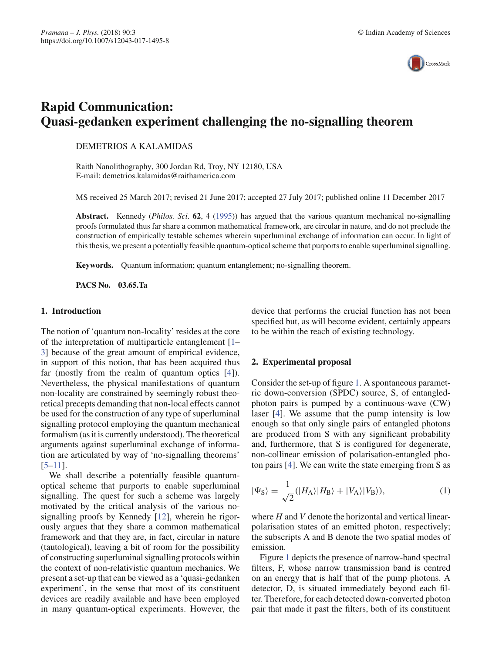

# **Rapid Communication: Quasi-gedanken experiment challenging the no-signalling theorem**

## DEMETRIOS A KALAMIDAS

Raith Nanolithography, 300 Jordan Rd, Troy, NY 12180, USA E-mail: demetrios.kalamidas@raithamerica.com

MS received 25 March 2017; revised 21 June 2017; accepted 27 July 2017; published online 11 December 2017

**Abstract.** Kennedy (*Philos. Sci*. **62**,4(1995)) has argued that the various quantum mechanical no-signalling proofs formulated thus far share a common mathematical framework, are circular in nature, and do not preclude the construction of empirically testable schemes wherein superluminal exchange of information can occur. In light of this thesis, we present a potentially feasible quantum-optical scheme that purports to enable superluminal signalling.

**Keywords.** Quantum information; quantum entanglement; no-signalling theorem.

**PACS No. 03.65.Ta**

## **1. Introduction**

The notion of 'quantum non-locality' resides at the core of the interpretation of multiparticle entanglement [1– 3] because of the great amount of empirical evidence, in support of this notion, that has been acquired thus far (mostly from the realm of quantum optics [4]). Nevertheless, the physical manifestations of quantum non-locality are constrained by seemingly robust theoretical precepts demanding that non-local effects cannot be used for the construction of any type of superluminal signalling protocol employing the quantum mechanical formalism (as it is currently understood). The theoretical arguments against superluminal exchange of information are articulated by way of 'no-signalling theorems' [5–11].

We shall describe a potentially feasible quantumoptical scheme that purports to enable superluminal signalling. The quest for such a scheme was largely motivated by the critical analysis of the various nosignalling proofs by Kennedy [12], wherein he rigorously argues that they share a common mathematical framework and that they are, in fact, circular in nature (tautological), leaving a bit of room for the possibility of constructing superluminal signalling protocols within the context of non-relativistic quantum mechanics. We present a set-up that can be viewed as a 'quasi-gedanken experiment', in the sense that most of its constituent devices are readily available and have been employed in many quantum-optical experiments. However, the device that performs the crucial function has not been specified but, as will become evident, certainly appears to be within the reach of existing technology.

### **2. Experimental proposal**

Consider the set-up of figure 1. A spontaneous parametric down-conversion (SPDC) source, S, of entangledphoton pairs is pumped by a continuous-wave (CW) laser [4]. We assume that the pump intensity is low enough so that only single pairs of entangled photons are produced from S with any significant probability and, furthermore, that S is configured for degenerate, non-collinear emission of polarisation-entangled photon pairs [4]. We can write the state emerging from S as

$$
|\Psi_{\rm S}\rangle = \frac{1}{\sqrt{2}} (|H_{\rm A}\rangle |H_{\rm B}\rangle + |V_{\rm A}\rangle |V_{\rm B}\rangle),\tag{1}
$$

where *H* and *V* denote the horizontal and vertical linearpolarisation states of an emitted photon, respectively; the subscripts A and B denote the two spatial modes of emission.

Figure 1 depicts the presence of narrow-band spectral filters, F, whose narrow transmission band is centred on an energy that is half that of the pump photons. A detector, D, is situated immediately beyond each filter. Therefore, for each detected down-converted photon pair that made it past the filters, both of its constituent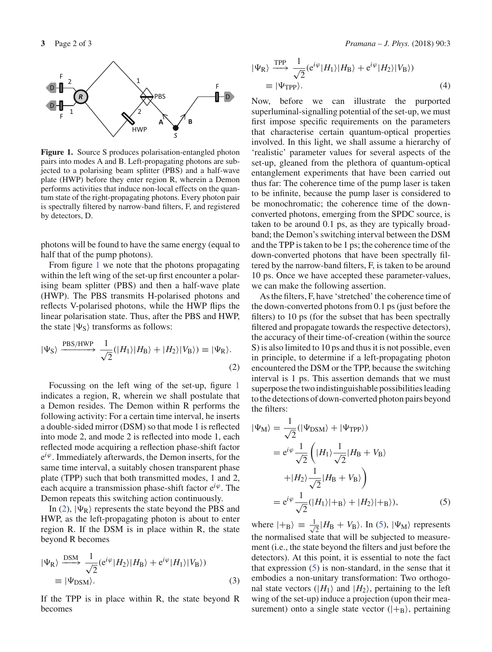

Figure 1. Source S produces polarisation-entangled photon pairs into modes A and B. Left-propagating photons are subjected to a polarising beam splitter (PBS) and a half-wave plate (HWP) before they enter region R, wherein a Demon performs activities that induce non-local effects on the quantum state of the right-propagating photons. Every photon pair is spectrally filtered by narrow-band filters, F, and registered by detectors, D.

photons will be found to have the same energy (equal to half that of the pump photons).

From figure 1 we note that the photons propagating within the left wing of the set-up first encounter a polarising beam splitter (PBS) and then a half-wave plate (HWP). The PBS transmits H-polarised photons and reflects V-polarised photons, while the HWP flips the linear polarisation state. Thus, after the PBS and HWP, the state  $|\Psi_{\rm S}\rangle$  transforms as follows:

$$
|\Psi_{\rm S}\rangle \xrightarrow{\rm PBS/HWP} \frac{1}{\sqrt{2}}(|H_1\rangle|H_{\rm B}\rangle + |H_2\rangle|V_{\rm B}\rangle) \equiv |\Psi_{\rm R}\rangle. \tag{2}
$$

Focussing on the left wing of the set-up, figure 1 indicates a region, R, wherein we shall postulate that a Demon resides. The Demon within R performs the following activity: For a certain time interval, he inserts a double-sided mirror (DSM) so that mode 1 is reflected into mode 2, and mode 2 is reflected into mode 1, each reflected mode acquiring a reflection phase-shift factor e*i*ϕ. Immediately afterwards, the Demon inserts, for the same time interval, a suitably chosen transparent phase plate (TPP) such that both transmitted modes, 1 and 2, each acquire a transmission phase-shift factor  $e^{i\varphi}$ . The Demon repeats this switching action continuously.

In (2),  $|\Psi_R\rangle$  represents the state beyond the PBS and HWP, as the left-propagating photon is about to enter region R. If the DSM is in place within R, the state beyond R becomes

$$
|\Psi_{\rm R}\rangle \xrightarrow{\rm DSM} \frac{1}{\sqrt{2}} (e^{i\varphi} |H_2\rangle |H_{\rm B}\rangle + e^{i\varphi} |H_1\rangle |V_{\rm B}\rangle)
$$
  

$$
\equiv |\Psi_{\rm DSM}\rangle.
$$
 (3)

If the TPP is in place within R, the state beyond R becomes

$$
|\Psi_{\rm R}\rangle \xrightarrow{\rm TPP} \frac{1}{\sqrt{2}} (e^{i\varphi} |H_1\rangle |H_{\rm B}\rangle + e^{i\varphi} |H_2\rangle |V_{\rm B}\rangle)
$$
  

$$
\equiv |\Psi_{\rm TPP}\rangle.
$$
 (4)

Now, before we can illustrate the purported superluminal-signalling potential of the set-up, we must first impose specific requirements on the parameters that characterise certain quantum-optical properties involved. In this light, we shall assume a hierarchy of 'realistic' parameter values for several aspects of the set-up, gleaned from the plethora of quantum-optical entanglement experiments that have been carried out thus far: The coherence time of the pump laser is taken to be infinite, because the pump laser is considered to be monochromatic; the coherence time of the downconverted photons, emerging from the SPDC source, is taken to be around 0.1 ps, as they are typically broadband; the Demon's switching interval between the DSM and the TPP is taken to be 1 ps; the coherence time of the down-converted photons that have been spectrally filtered by the narrow-band filters, F, is taken to be around 10 ps. Once we have accepted these parameter-values, we can make the following assertion.

As the filters, F, have 'stretched' the coherence time of the down-converted photons from 0.1 ps (just before the filters) to 10 ps (for the subset that has been spectrally filtered and propagate towards the respective detectors), the accuracy of their time-of-creation (within the source S) is also limited to 10 ps and thus it is not possible, even in principle, to determine if a left-propagating photon encountered the DSM or the TPP, because the switching interval is 1 ps. This assertion demands that we must superpose the two indistinguishable possibilities leading to the detections of down-converted photon pairs beyond the filters:

$$
|\Psi_{\rm M}\rangle = \frac{1}{\sqrt{2}} (|\Psi_{\rm DSM}\rangle + |\Psi_{\rm TPP}\rangle)
$$
  
=  $e^{i\varphi} \frac{1}{\sqrt{2}} \left( |H_1\rangle \frac{1}{\sqrt{2}} |H_{\rm B} + V_{\rm B}\rangle \right)$   
+  $|H_2\rangle \frac{1}{\sqrt{2}} |H_{\rm B} + V_{\rm B}\rangle$   
=  $e^{i\varphi} \frac{1}{\sqrt{2}} (|H_1\rangle|+_{\rm B}\rangle + |H_2\rangle|+_{\rm B}\rangle),$  (5)

where  $|+_{B}\rangle \equiv \frac{1}{\sqrt{2}}$  $\frac{1}{2}$  |*H*<sub>B</sub> + *V*<sub>B</sub> $\rangle$ . In (5), | $\Psi_{\rm M}$  $\rangle$  represents the normalised state that will be subjected to measurement (i.e., the state beyond the filters and just before the detectors). At this point, it is essential to note the fact that expression (5) is non-standard, in the sense that it embodies a non-unitary transformation: Two orthogonal state vectors  $(|H_1\rangle$  and  $|H_2\rangle$ , pertaining to the left wing of the set-up) induce a projection (upon their measurement) onto a single state vector  $(|+_{B}\rangle)$ , pertaining